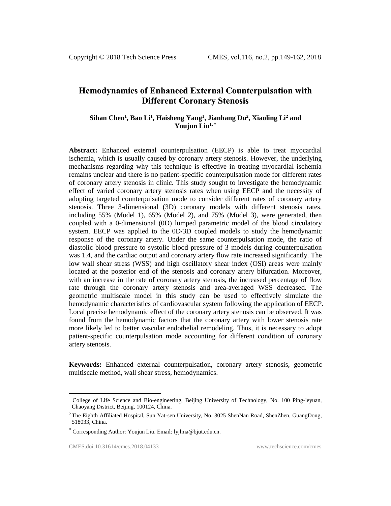# **Hemodynamics of Enhanced External Counterpulsation with Different Coronary Stenosis**

# **Sihan Chen<sup>1</sup> , Bao Li<sup>1</sup> , Haisheng Yang<sup>1</sup> , Jianhang Du<sup>2</sup> , Xiaoling Li<sup>2</sup> and Youjun Liu1, \***

**Abstract:** Enhanced external counterpulsation (EECP) is able to treat myocardial ischemia, which is usually caused by coronary artery stenosis. However, the underlying mechanisms regarding why this technique is effective in treating myocardial ischemia remains unclear and there is no patient-specific counterpulsation mode for different rates of coronary artery stenosis in clinic. This study sought to investigate the hemodynamic effect of varied coronary artery stenosis rates when using EECP and the necessity of adopting targeted counterpulsation mode to consider different rates of coronary artery stenosis. Three 3-dimensional (3D) coronary models with different stenosis rates, including 55% (Model 1), 65% (Model 2), and 75% (Model 3), were generated, then coupled with a 0-dimensional (0D) lumped parametric model of the blood circulatory system. EECP was applied to the 0D/3D coupled models to study the hemodynamic response of the coronary artery. Under the same counterpulsation mode, the ratio of diastolic blood pressure to systolic blood pressure of 3 models during counterpulsation was 1.4, and the cardiac output and coronary artery flow rate increased significantly. The low wall shear stress (WSS) and high oscillatory shear index (OSI) areas were mainly located at the posterior end of the stenosis and coronary artery bifurcation. Moreover, with an increase in the rate of coronary artery stenosis, the increased percentage of flow rate through the coronary artery stenosis and area-averaged WSS decreased. The geometric multiscale model in this study can be used to effectively simulate the hemodynamic characteristics of cardiovascular system following the application of EECP. Local precise hemodynamic effect of the coronary artery stenosis can be observed. It was found from the hemodynamic factors that the coronary artery with lower stenosis rate more likely led to better vascular endothelial remodeling. Thus, it is necessary to adopt patient-specific counterpulsation mode accounting for different condition of coronary artery stenosis.

**Keywords:** Enhanced external counterpulsation, coronary artery stenosis, geometric multiscale method, wall shear stress, hemodynamics.

 $\overline{\phantom{a}}$ 

<sup>&</sup>lt;sup>1</sup> College of Life Science and Bio-engineering, Beijing University of Technology, No. 100 Ping-leyuan, Chaoyang District, Beijing, 100124, China.

<sup>&</sup>lt;sup>2</sup>The Eighth Affiliated Hospital, Sun Yat-sen University, No. 3025 ShenNan Road, ShenZhen, GuangDong, 518033, China.

**<sup>\*</sup>** Corresponding Author: Youjun Liu. Email: lyjlma@bjut.edu.cn.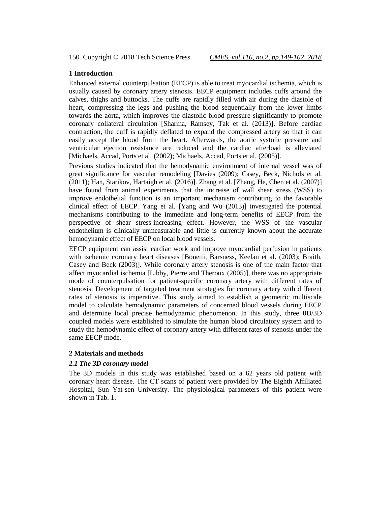# **1 Introduction**

Enhanced external counterpulsation (EECP) is able to treat myocardial ischemia, which is usually caused by coronary artery stenosis. EECP equipment includes cuffs around the calves, thighs and buttocks. The cuffs are rapidly filled with air during the diastole of heart, compressing the legs and pushing the blood sequentially from the lower limbs towards the aorta, which improves the diastolic blood pressure significantly to promote coronary collateral circulation [Sharma, Ramsey, Tak et al. (2013)]. Before cardiac contraction, the cuff is rapidly deflated to expand the compressed artery so that it can easily accept the blood from the heart. Afterwards, the aortic systolic pressure and ventricular ejection resistance are reduced and the cardiac afterload is alleviated [Michaels, Accad, Ports et al. (2002); Michaels, Accad, Ports et al. (2005)].

Previous studies indicated that the hemodynamic environment of internal vessel was of great significance for vascular remodeling [Davies (2009); Casey, Beck, Nichols et al. (2011); Han, Starikov, Hartaigh et al. (2016)]. Zhang et al. [Zhang, He, Chen et al. (2007)] have found from animal experiments that the increase of wall shear stress (WSS) to improve endothelial function is an important mechanism contributing to the favorable clinical effect of EECP. Yang et al. [Yang and Wu (2013)] investigated the potential mechanisms contributing to the immediate and long-term benefits of EECP from the perspective of shear stress-increasing effect. However, the WSS of the vascular endothelium is clinically unmeasurable and little is currently known about the accurate hemodynamic effect of EECP on local blood vessels.

EECP equipment can assist cardiac work and improve myocardial perfusion in patients with ischemic coronary heart diseases [Bonetti, Barsness, Keelan et al. (2003); Braith, Casey and Beck (2003)]. While coronary artery stenosis is one of the main factor that affect myocardial ischemia [Libby, Pierre and Theroux (2005)], there was no appropriate mode of counterpulsation for patient-specific coronary artery with different rates of stenosis. Development of targeted treatment strategies for coronary artery with different rates of stenosis is imperative. This study aimed to establish a geometric multiscale model to calculate hemodynamic parameters of concerned blood vessels during EECP and determine local precise hemodynamic phenomenon. In this study, three 0D/3D coupled models were established to simulate the human blood circulatory system and to study the hemodynamic effect of coronary artery with different rates of stenosis under the same EECP mode.

# **2 Materials and methods**

#### *2.1 The 3D coronary model*

The 3D models in this study was established based on a 62 years old patient with coronary heart disease. The CT scans of patient were provided by The Eighth Affiliated Hospital, Sun Yat-sen University. The physiological parameters of this patient were shown in Tab. 1.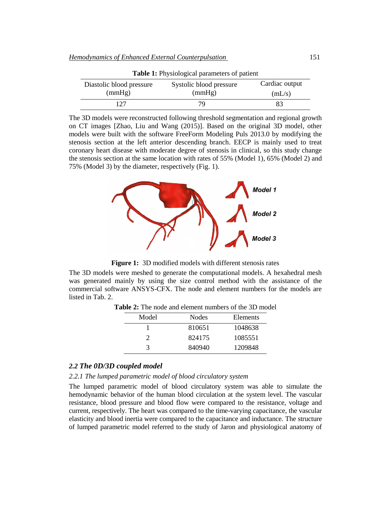| <b>rapic 1.</b> I hysiological parameters of patient |                         |                |  |  |
|------------------------------------------------------|-------------------------|----------------|--|--|
| Diastolic blood pressure                             | Systolic blood pressure | Cardiac output |  |  |
| (mmHg)                                               | (mmHg)                  | (mL/s)         |  |  |
| 127                                                  | 79.                     | 83             |  |  |

**Table 1:** Physiological parameters of patient

The 3D models were reconstructed following threshold segmentation and regional growth on CT images [Zhao, Liu and Wang (2015)]. Based on the original 3D model, other models were built with the software FreeForm Modeling Puls 2013.0 by modifying the stenosis section at the left anterior descending branch. EECP is mainly used to treat coronary heart disease with moderate degree of stenosis in clinical, so this study change the stenosis section at the same location with rates of 55% (Model 1), 65% (Model 2) and 75% (Model 3) by the diameter, respectively (Fig. 1).



**Figure 1:** 3D modified models with different stenosis rates

The 3D models were meshed to generate the computational models. A hexahedral mesh was generated mainly by using the size control method with the assistance of the commercial software ANSYS-CFX. The node and element numbers for the models are listed in Tab. 2.

| Model | Nodes  | Elements |
|-------|--------|----------|
|       | 810651 | 1048638  |
|       | 824175 | 1085551  |
| 3     | 840940 | 1209848  |

**Table 2:** The node and element numbers of the 3D model

# *2.2 The 0D/3D coupled model*

### *2.2.1 The lumped parametric model of blood circulatory system*

The lumped parametric model of blood circulatory system was able to simulate the hemodynamic behavior of the human blood circulation at the system level. The vascular resistance, blood pressure and blood flow were compared to the resistance, voltage and current, respectively. The heart was compared to the time-varying capacitance, the vascular elasticity and blood inertia were compared to the capacitance and inductance. The structure of lumped parametric model referred to the study of Jaron and physiological anatomy of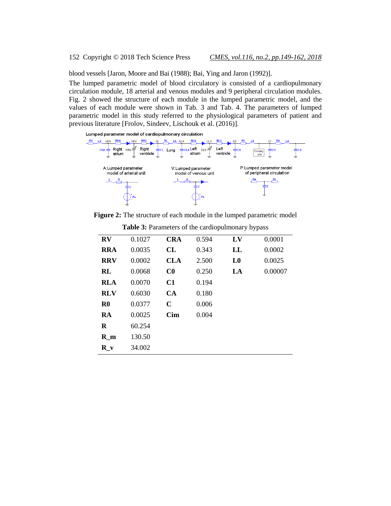blood vessels [Jaron, Moore and Bai (1988); Bai, Ying and Jaron (1992)].

The lumped parametric model of blood circulatory is consisted of a cardiopulmonary circulation module, 18 arterial and venous modules and 9 peripheral circulation modules. Fig. 2 showed the structure of each module in the lumped parametric model, and the values of each module were shown in Tab. 3 and Tab. 4. The parameters of lumped parametric model in this study referred to the physiological parameters of patient and previous literature [Frolov, Sindeev, Lischouk et al. (2016)].





**Figure 2:** The structure of each module in the lumped parametric model

| $\mathbf{R}\mathbf{V}$ | 0.1027 | <b>CRA</b>  | 0.594 | LV             | 0.0001  |
|------------------------|--------|-------------|-------|----------------|---------|
| <b>RRA</b>             | 0.0035 | CL          | 0.343 | LL             | 0.0002  |
| <b>RRV</b>             | 0.0002 | <b>CLA</b>  | 2.500 | L <sub>0</sub> | 0.0025  |
| RL                     | 0.0068 | $\bf C0$    | 0.250 | LA             | 0.00007 |
| <b>RLA</b>             | 0.0070 | C1          | 0.194 |                |         |
| <b>RLV</b>             | 0.6030 | <b>CA</b>   | 0.180 |                |         |
| $\mathbf{R}0$          | 0.0377 | $\mathbf C$ | 0.006 |                |         |
| RA                     | 0.0025 | <b>Cim</b>  | 0.004 |                |         |
| R                      | 60.254 |             |       |                |         |
| $R$ m                  | 130.50 |             |       |                |         |
| R <sub>v</sub>         | 34.002 |             |       |                |         |
|                        |        |             |       |                |         |

**Table 3:** Parameters of the cardiopulmonary bypass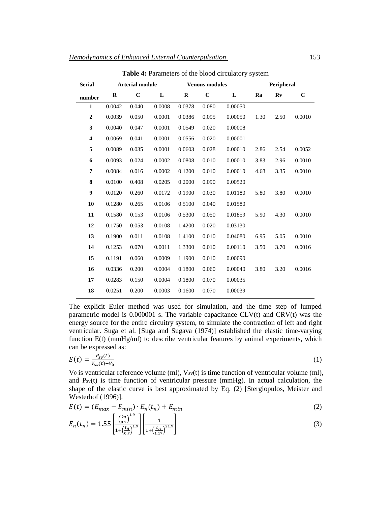| <b>Serial</b>           | <b>Arterial module</b> |             | <b>Venous modules</b> |          |             | Peripheral |      |      |             |
|-------------------------|------------------------|-------------|-----------------------|----------|-------------|------------|------|------|-------------|
| number                  | $\bf R$                | $\mathbf C$ | L                     | $\bf{R}$ | $\mathbf C$ | L          | Ra   | Rv   | $\mathbf C$ |
| $\mathbf{1}$            | 0.0042                 | 0.040       | 0.0008                | 0.0378   | 0.080       | 0.00050    |      |      |             |
| $\overline{2}$          | 0.0039                 | 0.050       | 0.0001                | 0.0386   | 0.095       | 0.00050    | 1.30 | 2.50 | 0.0010      |
| 3                       | 0.0040                 | 0.047       | 0.0001                | 0.0549   | 0.020       | 0.00008    |      |      |             |
| $\overline{\mathbf{4}}$ | 0.0069                 | 0.041       | 0.0001                | 0.0556   | 0.020       | 0.00001    |      |      |             |
| 5                       | 0.0089                 | 0.035       | 0.0001                | 0.0603   | 0.028       | 0.00010    | 2.86 | 2.54 | 0.0052      |
| 6                       | 0.0093                 | 0.024       | 0.0002                | 0.0808   | 0.010       | 0.00010    | 3.83 | 2.96 | 0.0010      |
| 7                       | 0.0084                 | 0.016       | 0.0002                | 0.1200   | 0.010       | 0.00010    | 4.68 | 3.35 | 0.0010      |
| 8                       | 0.0100                 | 0.408       | 0.0205                | 0.2000   | 0.090       | 0.00520    |      |      |             |
| 9                       | 0.0120                 | 0.260       | 0.0172                | 0.1900   | 0.030       | 0.01180    | 5.80 | 3.80 | 0.0010      |
| 10                      | 0.1280                 | 0.265       | 0.0106                | 0.5100   | 0.040       | 0.01580    |      |      |             |
| 11                      | 0.1580                 | 0.153       | 0.0106                | 0.5300   | 0.050       | 0.01859    | 5.90 | 4.30 | 0.0010      |
| 12                      | 0.1750                 | 0.053       | 0.0108                | 1.4200   | 0.020       | 0.03130    |      |      |             |
| 13                      | 0.1900                 | 0.011       | 0.0108                | 1.4100   | 0.010       | 0.04080    | 6.95 | 5.05 | 0.0010      |
| 14                      | 0.1253                 | 0.070       | 0.0011                | 1.3300   | 0.010       | 0.00110    | 3.50 | 3.70 | 0.0016      |
| 15                      | 0.1191                 | 0.060       | 0.0009                | 1.1900   | 0.010       | 0.00090    |      |      |             |
| 16                      | 0.0336                 | 0.200       | 0.0004                | 0.1800   | 0.060       | 0.00040    | 3.80 | 3.20 | 0.0016      |
| 17                      | 0.0283                 | 0.150       | 0.0004                | 0.1800   | 0.070       | 0.00035    |      |      |             |
| 18                      | 0.0251                 | 0.200       | 0.0003                | 0.1600   | 0.070       | 0.00039    |      |      |             |

**Table 4:** Parameters of the blood circulatory system

The explicit Euler method was used for simulation, and the time step of lumped parametric model is  $0.000001$  s. The variable capacitance CLV(t) and CRV(t) was the energy source for the entire circuitry system, to simulate the contraction of left and right ventricular. Suga et al. [Suga and Sugava (1974)] established the elastic time-varying function E(t) (mmHg/ml) to describe ventricular features by animal experiments, which can be expressed as:

$$
E(t) = \frac{P_{sv}(t)}{V_{sv}(t) - V_0}
$$
 (1)

V0 is ventricular reference volume (ml),  $V_{sv}(t)$  is time function of ventricular volume (ml), and  $P_{sv}(t)$  is time function of ventricular pressure (mmHg). In actual calculation, the shape of the elastic curve is best approximated by Eq. (2) [Stergiopulos, Meister and Westerhof (1996)].

$$
E(t) = (E_{max} - E_{min}) \cdot E_n(t_n) + E_{min}
$$
\n(2)

$$
E_n(t_n) = 1.55 \left[ \frac{\left(\frac{t_n}{0.7}\right)^{1.9}}{1 + \left(\frac{t_n}{0.7}\right)^{1.9}} \right] \left[ \frac{1}{1 + \left(\frac{t_n}{1.17}\right)^{21.9}} \right]
$$
(3)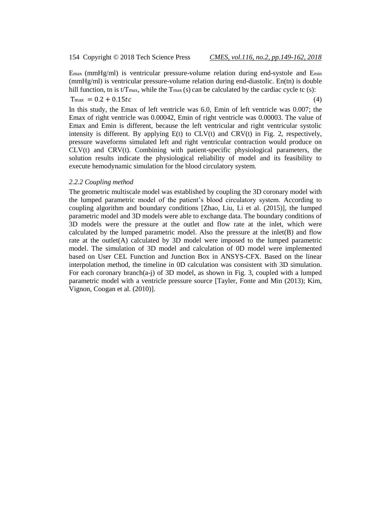Emax (mmHg/ml) is ventricular pressure-volume relation during end-systole and Emin (mmHg/ml) is ventricular pressure-volume relation during end-diastolic. En(tn) is double hill function, tn is t/Tmax, while the  $T_{\text{max}}$  (s) can be calculated by the cardiac cycle tc (s):

 $T_{\text{max}} = 0.2 + 0.15 t c$  (4)

In this study, the Emax of left ventricle was 6.0, Emin of left ventricle was 0.007; the Emax of right ventricle was 0.00042, Emin of right ventricle was 0.00003. The value of Emax and Emin is different, because the left ventricular and right ventricular systolic intensity is different. By applying  $E(t)$  to  $CLV(t)$  and  $CRV(t)$  in Fig. 2, respectively, pressure waveforms simulated left and right ventricular contraction would produce on  $CLV(t)$  and  $CRV(t)$ . Combining with patient-specific physiological parameters, the solution results indicate the physiological reliability of model and its feasibility to execute hemodynamic simulation for the blood circulatory system.

#### *2.2.2 Coupling method*

The geometric multiscale model was established by coupling the 3D coronary model with the lumped parametric model of the patient's blood circulatory system. According to coupling algorithm and boundary conditions [Zhao, Liu, Li et al. (2015)], the lumped parametric model and 3D models were able to exchange data. The boundary conditions of 3D models were the pressure at the outlet and flow rate at the inlet, which were calculated by the lumped parametric model. Also the pressure at the inlet(B) and flow rate at the outlet(A) calculated by 3D model were imposed to the lumped parametric model. The simulation of 3D model and calculation of 0D model were implemented based on User CEL Function and Junction Box in ANSYS-CFX. Based on the linear interpolation method, the timeline in 0D calculation was consistent with 3D simulation. For each coronary branch(a-j) of 3D model, as shown in Fig. 3, coupled with a lumped parametric model with a ventricle pressure source [Tayler, Fonte and Min (2013); Kim, Vignon, Coogan et al. (2010)].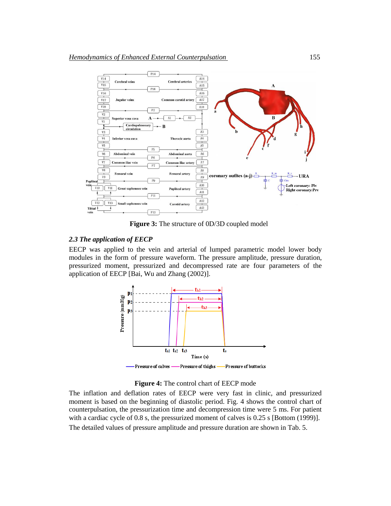

 **Figure 3:** The structure of 0D/3D coupled model

### *2.3 The application of EECP*

EECP was applied to the vein and arterial of lumped parametric model lower body modules in the form of pressure waveform. The pressure amplitude, pressure duration, pressurized moment, pressurized and decompressed rate are four parameters of the application of EECP [Bai, Wu and Zhang (2002)].



**Figure 4:** The control chart of EECP mode

The inflation and deflation rates of EECP were very fast in clinic, and pressurized moment is based on the beginning of diastolic period. Fig. 4 shows the control chart of counterpulsation, the pressurization time and decompression time were 5 ms. For patient with a cardiac cycle of 0.8 s, the pressurized moment of calves is 0.25 s [Bottom (1999)]. The detailed values of pressure amplitude and pressure duration are shown in Tab. 5.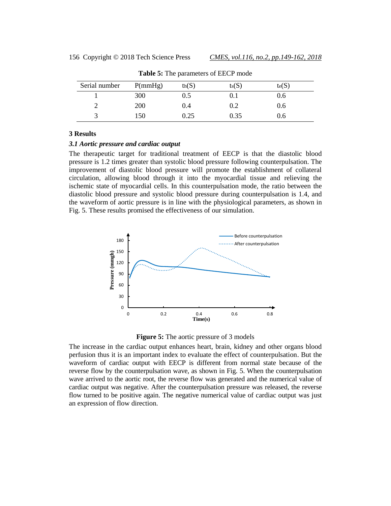| Serial number | P(mmHg) | $\text{th}(S)$ | $t_s(S)$ | te(S) |
|---------------|---------|----------------|----------|-------|
|               | 300     | 0.5            | 0.1      | 0.6   |
|               | 200     | 0.4            | 0.2      | 0.6   |
|               | 150     | 0.25           | 0.35     | 0.6   |

**Table 5:** The parameters of EECP mode

### **3 Results**

#### *3.1 Aortic pressure and cardiac output*

The therapeutic target for traditional treatment of EECP is that the diastolic blood pressure is 1.2 times greater than systolic blood pressure following counterpulsation. The improvement of diastolic blood pressure will promote the establishment of collateral circulation, allowing blood through it into the myocardial tissue and relieving the ischemic state of myocardial cells. In this counterpulsation mode, the ratio between the diastolic blood pressure and systolic blood pressure during counterpulsation is 1.4, and the waveform of aortic pressure is in line with the physiological parameters, as shown in Fig. 5. These results promised the effectiveness of our simulation.





The increase in the cardiac output enhances heart, brain, kidney and other organs blood perfusion thus it is an important index to evaluate the effect of counterpulsation. But the waveform of cardiac output with EECP is different from normal state because of the reverse flow by the counterpulsation wave, as shown in Fig. 5. When the counterpulsation wave arrived to the aortic root, the reverse flow was generated and the numerical value of cardiac output was negative. After the counterpulsation pressure was released, the reverse flow turned to be positive again. The negative numerical value of cardiac output was just an expression of flow direction.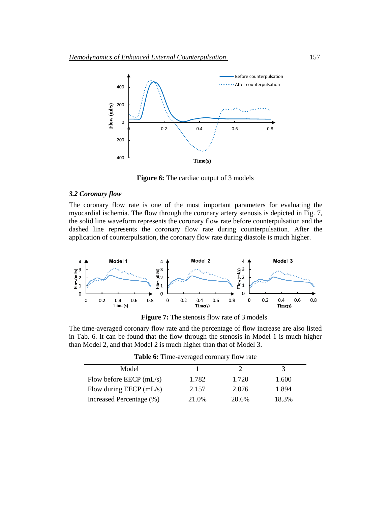

**Figure 6:** The cardiac output of 3 models

### *3.2 Coronary flow*

The coronary flow rate is one of the most important parameters for evaluating the myocardial ischemia. The flow through the coronary artery stenosis is depicted in Fig. 7, the solid line waveform represents the coronary flow rate before counterpulsation and the dashed line represents the coronary flow rate during counterpulsation. After the application of counterpulsation, the coronary flow rate during diastole is much higher.



**Figure 7:** The stenosis flow rate of 3 models

The time-averaged coronary flow rate and the percentage of flow increase are also listed in Tab. 6. It can be found that the flow through the stenosis in Model 1 is much higher than Model 2, and that Model 2 is much higher than that of Model 3.

| Model                     |       |       |       |
|---------------------------|-------|-------|-------|
| Flow before EECP $(mL/s)$ | 1.782 | 1.720 | 1.600 |
| Flow during EECP $(mL/s)$ | 2.157 | 2.076 | 1.894 |
| Increased Percentage (%)  | 21.0% | 20.6% | 18.3% |

**Table 6:** Time-averaged coronary flow rate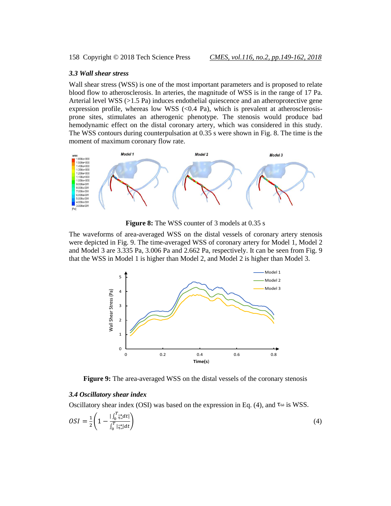# *3.3 Wall shear stress*

Wall shear stress (WSS) is one of the most important parameters and is proposed to relate blood flow to atherosclerosis. In arteries, the magnitude of WSS is in the range of 17 Pa. Arterial level WSS  $(>1.5 \text{ Pa})$  induces endothelial quiescence and an atheroprotective gene expression profile, whereas low WSS  $\ll 0.4$  Pa), which is prevalent at atherosclerosisprone sites, stimulates an atherogenic phenotype. The stenosis would produce bad hemodynamic effect on the distal coronary artery, which was considered in this study. The WSS contours during counterpulsation at 0.35 s were shown in Fig. 8. The time is the moment of maximum coronary flow rate.



**Figure 8:** The WSS counter of 3 models at 0.35 s

The waveforms of area-averaged WSS on the distal vessels of coronary artery stenosis were depicted in Fig. 9. The time-averaged WSS of coronary artery for Model 1, Model 2 and Model 3 are 3.335 Pa, 3.006 Pa and 2.662 Pa, respectively. It can be seen from Fig. 9 that the WSS in Model 1 is higher than Model 2, and Model 2 is higher than Model 3.



**Figure 9:** The area-averaged WSS on the distal vessels of the coronary stenosis

# *3.4 Oscillatory shear index*

Oscillatory shear index (OSI) was based on the expression in Eq. (4), and  $\tau \omega$  is WSS.

$$
OSI = \frac{1}{2} \left( 1 - \frac{|\int_0^T \vec{\tau}_\omega^2 dt|}{\int_0^T |\vec{\tau}_\omega| dt} \right) \tag{4}
$$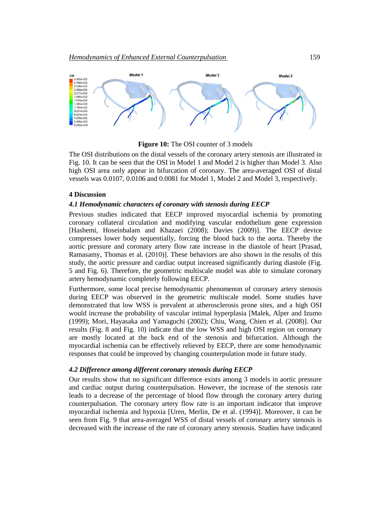

**Figure 10:** The OSI counter of 3 models

The OSI distributions on the distal vessels of the coronary artery stenosis are illustrated in Fig. 10. It can be seen that the OSI in Model 1 and Model 2 is higher than Model 3. Also high OSI area only appear in bifurcation of coronary. The area-averaged OSI of distal vessels was 0.0107, 0.0106 and 0.0081 for Model 1, Model 2 and Model 3, respectively.

#### **4 Discussion**

# *4.1 Hemodynamic characters of coronary with stenosis during EECP*

Previous studies indicated that EECP improved myocardial ischemia by promoting coronary collateral circulation and modifying vascular endothelium gene expression [Hashemi, Hoseinbalam and Khazaei (2008); Davies (2009)]. The EECP device compresses lower body sequentially, forcing the blood back to the aorta. Thereby the aortic pressure and coronary artery flow rate increase in the diastole of heart [Prasad, Ramasamy, Thomas et al. (2010)]. These behaviors are also shown in the results of this study, the aortic pressure and cardiac output increased significantly during diastole (Fig. 5 and Fig. 6). Therefore, the geometric multiscale model was able to simulate coronary artery hemodynamic completely following EECP.

Furthermore, some local precise hemodynamic phenomenon of coronary artery stenosis during EECP was observed in the geometric multiscale model. Some studies have demonstrated that low WSS is prevalent at atherosclerosis prone sites, and a high OSI would increase the probability of vascular intimal hyperplasia [Malek, Alper and Izumo (1999); Mori, Hayasaka and Yamaguchi (2002); Chiu, Wang, Chien et al. (2008)]. Our results (Fig. 8 and Fig. 10) indicate that the low WSS and high OSI region on coronary are mostly located at the back end of the stenosis and bifurcation. Although the myocardial ischemia can be effectively relieved by EECP, there are some hemodynamic responses that could be improved by changing counterpulation mode in future study.

#### *4.2 Difference among different coronary stenosis during EECP*

Our results show that no significant difference exists among 3 models in aortic pressure and cardiac output during counterpulsation. However, the increase of the stenosis rate leads to a decrease of the percentage of blood flow through the coronary artery during counterpulsation. The coronary artery flow rate is an important indicator that improve myocardial ischemia and hypoxia [Uren, Merlin, De et al. (1994)]. Moreover, it can be seen from Fig. 9 that area-averaged WSS of distal vessels of coronary artery stenosis is decreased with the increase of the rate of coronary artery stenosis. Studies have indicated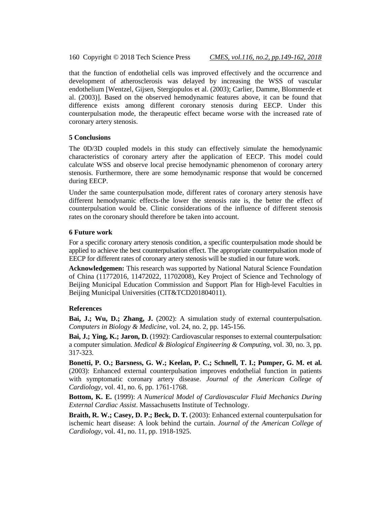160 Copyright © 2018 Tech Science Press *CMES, vol.116, no.2, pp.149-162, 2018*

that the function of endothelial cells was improved effectively and the occurrence and development of atherosclerosis was delayed by increasing the WSS of vascular endothelium [Wentzel, Gijsen, Stergiopulos et al. (2003); Carlier, Damme, Blommerde et al. (2003)]. Based on the observed hemodynamic features above, it can be found that difference exists among different coronary stenosis during EECP. Under this counterpulsation mode, the therapeutic effect became worse with the increased rate of coronary artery stenosis.

# **5 Conclusions**

The 0D/3D coupled models in this study can effectively simulate the hemodynamic characteristics of coronary artery after the application of EECP. This model could calculate WSS and observe local precise hemodynamic phenomenon of coronary artery stenosis. Furthermore, there are some hemodynamic response that would be concerned during EECP.

Under the same counterpulsation mode, different rates of coronary artery stenosis have different hemodynamic effects-the lower the stenosis rate is, the better the effect of counterpulsation would be. Clinic considerations of the influence of different stenosis rates on the coronary should therefore be taken into account.

# **6 Future work**

For a specific coronary artery stenosis condition, a specific counterpulsation mode should be applied to achieve the best counterpulsation effect. The appropriate counterpulsation mode of EECP for different rates of coronary artery stenosis will be studied in our future work.

**Acknowledgemen:** This research was supported by National Natural Science Foundation of China (11772016, 11472022, 11702008), Key Project of Science and Technology of Beijing Municipal Education Commission and Support Plan for High-level Faculties in Beijing Municipal Universities (CIT&TCD201804011).

# **References**

**Bai, J.; Wu, D.; Zhang, J.** (2002): A simulation study of external counterpulsation. *Computers in Biology & Medicine*, vol. 24, no. 2, pp. 145-156.

**Bai, J.; Ying, K.; Jaron, D.** (1992): Cardiovascular responses to external counterpulsation: a computer simulation. *Medical & Biological Engineering & Computing*, vol. 30, no. 3, pp. 317-323.

**Bonetti, P. O.; Barsness, G. W.; Keelan, P. C.; Schnell, T. I.; Pumper, G. M. et al.** (2003): Enhanced external counterpulsation improves endothelial function in patients with symptomatic coronary artery disease. *Journal of the American College of Cardiology*, vol. 41, no. 6, pp. 1761-1768.

**Bottom, K. E.** (1999): *A Numerical Model of Cardiovascular Fluid Mechanics During External Cardiac Assist*. Massachusetts Institute of Technology.

**Braith, R. W.; Casey, D. P.; Beck, D. T.** (2003): Enhanced external counterpulsation for ischemic heart disease: A look behind the curtain. *Journal of the American College of Cardiology*, vol. 41, no. 11, pp. 1918-1925.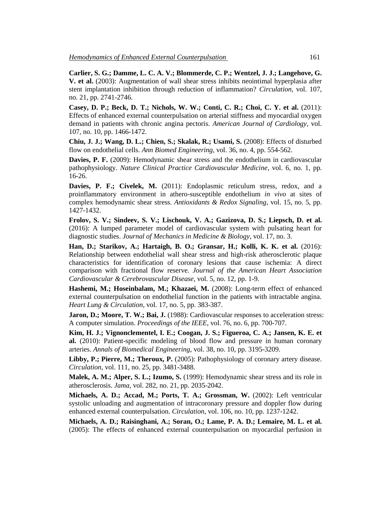**Carlier, S. G.; Damme, L. C. A. V.; Blommerde, C. P.; Wentzel, J. J.; Langehove, G. V. et al.** (2003): Augmentation of wall shear stress inhibits neointimal hyperplasia after stent implantation inhibition through reduction of inflammation? *Circulation*, vol. 107, no. 21, pp. 2741-2746.

**Casey, D. P.; Beck, D. T.; Nichols, W. W.; Conti, C. R.; Choi, C. Y. et al.** (2011): Effects of enhanced external counterpulsation on arterial stiffness and myocardial oxygen demand in patients with chronic angina pectoris. *American Journal of Cardiology*, vol. 107, no. 10, pp. 1466-1472.

**Chiu, J. J.; Wang, D. L.; Chien, S.; Skalak, R.; Usami, S.** (2008): Effects of disturbed flow on endothelial cells. *Ann Biomed Engineering*, vol. 36, no. 4, pp. 554-562.

**Davies, P. F.** (2009): Hemodynamic shear stress and the endothelium in cardiovascular pathophysiology. *Nature Clinical Practice Cardiovascular Medicine*, vol. 6, no. 1, pp. 16-26.

**Davies, P. F.; Civelek, M.** (2011): Endoplasmic reticulum stress, redox, and a proinflammatory environment in athero-susceptible endothelium *in vivo* at sites of complex hemodynamic shear stress. *Antioxidants & Redox Signaling*, vol. 15, no. 5, pp. 1427-1432.

**Frolov, S. V.; Sindeev, S. V.; Lischouk, V. A.; Gazizova, D. S.; Liepsch, D. et al.**  (2016): A lumped parameter model of cardiovascular system with pulsating heart for diagnostic studies. *Journal of Mechanics in Medicine & Biology*, vol. 17, no. 3.

**Han, D.; Starikov, A.; Hartaigh, B. O.; Gransar, H.; Kolli, K. K. et al.** (2016): Relationship between endothelial wall shear stress and high-risk atherosclerotic plaque characteristics for identification of coronary lesions that cause ischemia: A direct comparison with fractional flow reserve. *Journal of the American Heart Association Cardiovascular & Cerebrovascular Disease*, vol. 5, no. 12, pp. 1-9.

**Hashemi, M.; Hoseinbalam, M.; Khazaei, M.** (2008): Long-term effect of enhanced external counterpulsation on endothelial function in the patients with intractable angina. *Heart Lung & Circulation*, vol. 17, no. 5, pp. 383-387.

**Jaron, D.; Moore, T. W.; Bai, J.** (1988): Cardiovascular responses to acceleration stress: A computer simulation. *Proceedings of the IEEE*, vol. 76, no. 6, pp. 700-707.

**Kim, H. J.; Vignonclementel, I. E.; Coogan, J. S.; Figueroa, C. A.; Jansen, K. E. et al.** (2010): Patient-specific modeling of blood flow and pressure in human coronary arteries. *Annals of Biomedical Engineering*, vol. 38, no. 10, pp. 3195-3209.

Libby, P.; Pierre, M.; Theroux, P. (2005): Pathophysiology of coronary artery disease. *Circulation*, vol. 111, no. 25, pp. 3481-3488.

**Malek, A. M.; Alper, S. L.; Izumo, S.** (1999): Hemodynamic shear stress and its role in atherosclerosis. *Jama*, vol. 282, no. 21, pp. 2035-2042.

**Michaels, A. D.; Accad, M.; Ports, T. A.; Grossman, W.** (2002): Left ventricular systolic unloading and augmentation of intracoronary pressure and doppler flow during enhanced external counterpulsation. *Circulation*, vol. 106, no. 10, pp. 1237-1242.

**Michaels, A. D.; Raisinghani, A.; Soran, O.; Lame, P. A. D.; Lemaire, M. L. et al.**  (2005): The effects of enhanced external counterpulsation on myocardial perfusion in